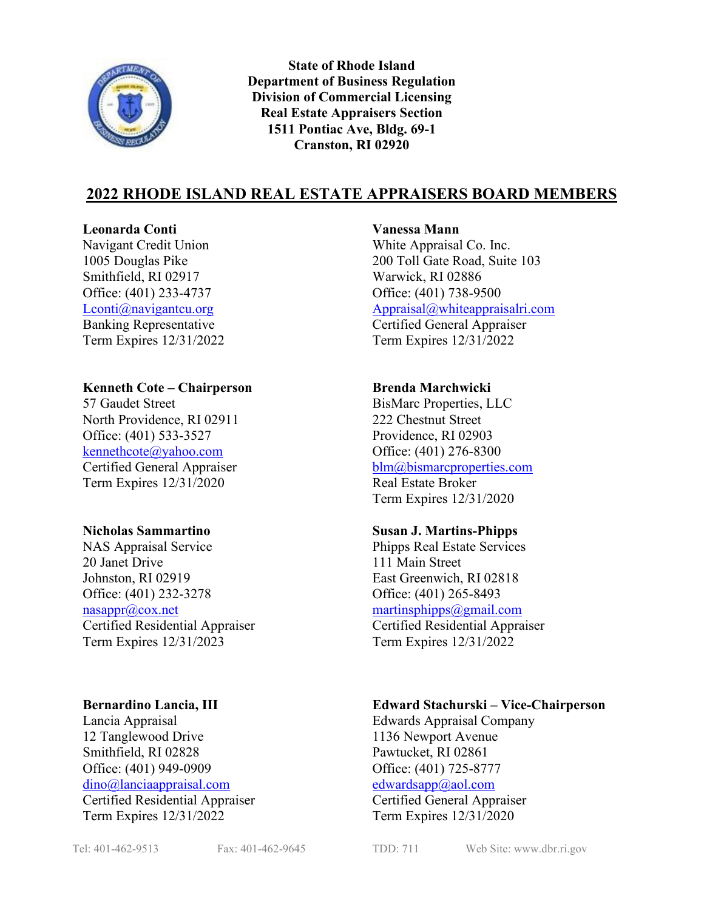

**State of Rhode Island Department of Business Regulation Division of Commercial Licensing Real Estate Appraisers Section 1511 Pontiac Ave, Bldg. 69-1 Cranston, RI 02920**

# **2022 RHODE ISLAND REAL ESTATE APPRAISERS BOARD MEMBERS**

### **Leonarda Conti Vanessa Mann**

Navigant Credit Union White Appraisal Co. Inc. Smithfield, RI 02917 Warwick, RI 02886 Office: (401) 233-4737 Office: (401) 738-9500

### **Kenneth Cote – Chairperson Brenda Marchwicki**

57 Gaudet Street BisMarc Properties, LLC North Providence, RI 02911 222 Chestnut Street Office: (401) 533-3527 Providence, RI 02903 [kennethcote@yahoo.com](mailto:kennethcote@yahoo.com) Office: (401) 276-8300 Term Expires 12/31/2020 Real Estate Broker

NAS Appraisal Service Phipps Real Estate Services 20 Janet Drive 111 Main Street Johnston, RI 02919 East Greenwich, RI 02818 Office: (401) 232-3278 Office: (401) 265-8493 [nasappr@cox.net](mailto:nasappr@cox.net) [martinsphipps@gmail.com](mailto:martinsphipps@gmail.com) Term Expires 12/31/2023 Term Expires 12/31/2022

12 Tanglewood Drive 1136 Newport Avenue Smithfield, RI 02828 Pawtucket, RI 02861 Office: (401) 949-0909 Office: (401) 725-8777 [dino@lanciaappraisal.com](mailto:dino@lanciaappraisal.com) [edwardsapp@aol.com](mailto:edwardsapp@aol.com) Certified Residential Appraiser Certified General Appraiser

1005 Douglas Pike 200 Toll Gate Road, Suite 103 [Lconti@navigantcu.org](mailto:Lconti@navigantcu.org) [Appraisal@whiteappraisalri.com](mailto:Appraisal@whiteappraisalri.com) Banking Representative Certified General Appraiser Term Expires 12/31/2022 Term Expires 12/31/2022

Certified General Appraiser [blm@bismarcproperties.com](mailto:blm@bismarcproperties.com) Term Expires 12/31/2020

### **Nicholas Sammartino Susan J. Martins-Phipps**

Certified Residential Appraiser Certified Residential Appraiser

### **Bernardino Lancia, III Edward Stachurski – Vice-Chairperson**

Lancia Appraisal Edwards Appraisal Company

Term Expires 12/31/2022 Term Expires 12/31/2020

Tel: 401-462-9513 Fax: 401-462-9645 TDD: 711 Web Site: www.dbr.ri.gov